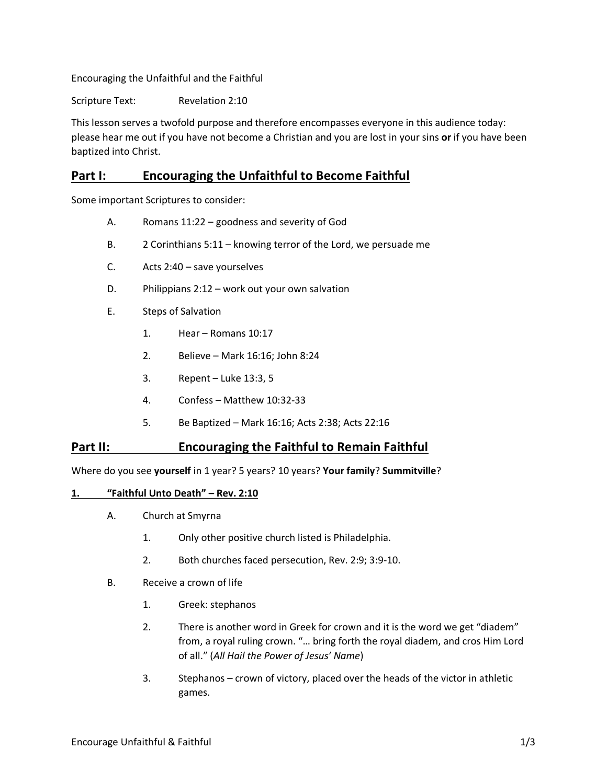Encouraging the Unfaithful and the Faithful

Scripture Text: Revelation 2:10

This lesson serves a twofold purpose and therefore encompasses everyone in this audience today: please hear me out if you have not become a Christian and you are lost in your sins **or** if you have been baptized into Christ.

# **Part I: Encouraging the Unfaithful to Become Faithful**

Some important Scriptures to consider:

- A. Romans 11:22 goodness and severity of God
- B. 2 Corinthians 5:11 knowing terror of the Lord, we persuade me
- C. Acts 2:40 save yourselves
- D. Philippians 2:12 work out your own salvation
- E. Steps of Salvation
	- 1. Hear Romans 10:17
	- 2. Believe Mark 16:16; John 8:24
	- 3. Repent Luke 13:3, 5
	- 4. Confess Matthew 10:32-33
	- 5. Be Baptized Mark 16:16; Acts 2:38; Acts 22:16

## **Part II: Encouraging the Faithful to Remain Faithful**

Where do you see **yourself** in 1 year? 5 years? 10 years? **Your family**? **Summitville**?

### **1. "Faithful Unto Death" – Rev. 2:10**

- A. Church at Smyrna
	- 1. Only other positive church listed is Philadelphia.
	- 2. Both churches faced persecution, Rev. 2:9; 3:9-10.
- B. Receive a crown of life
	- 1. Greek: stephanos
	- 2. There is another word in Greek for crown and it is the word we get "diadem" from, a royal ruling crown. "… bring forth the royal diadem, and cros Him Lord of all." (*All Hail the Power of Jesus' Name*)
	- 3. Stephanos crown of victory, placed over the heads of the victor in athletic games.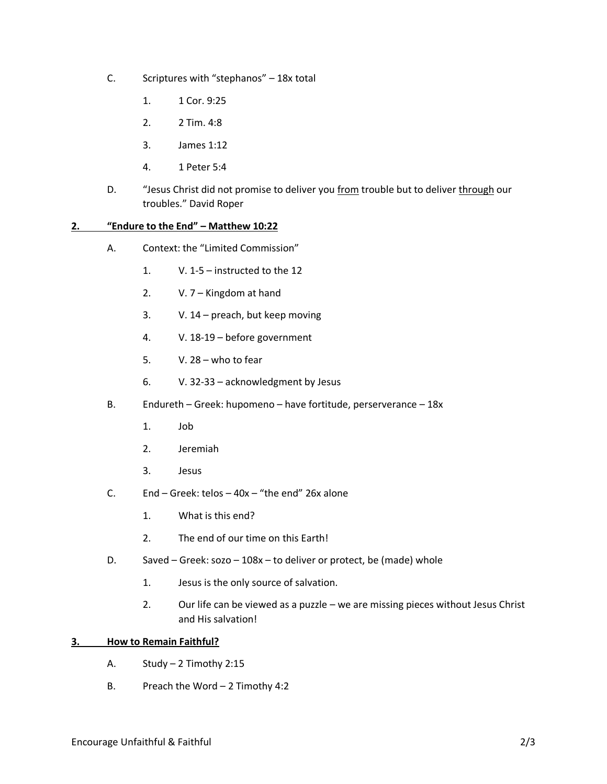- C. Scriptures with "stephanos" 18x total
	- 1. 1 Cor. 9:25
	- 2. 2 Tim. 4:8
	- 3. James 1:12
	- 4. 1 Peter 5:4
- D. "Jesus Christ did not promise to deliver you from trouble but to deliver through our troubles." David Roper

### **2. "Endure to the End" – Matthew 10:22**

- A. Context: the "Limited Commission"
	- 1. V. 1-5 instructed to the 12
	- 2. V. 7 Kingdom at hand
	- 3. V. 14 preach, but keep moving
	- 4. V. 18-19 before government
	- 5. V. 28 who to fear
	- 6. V. 32-33 acknowledgment by Jesus
- B. Endureth Greek: hupomeno have fortitude, perserverance 18x
	- 1. Job
	- 2. Jeremiah
	- 3. Jesus
- C. End Greek: telos 40x "the end" 26x alone
	- 1. What is this end?
	- 2. The end of our time on this Earth!
- D. Saved Greek: sozo 108x to deliver or protect, be (made) whole
	- 1. Jesus is the only source of salvation.
	- 2. Our life can be viewed as a puzzle we are missing pieces without Jesus Christ and His salvation!

### **3. How to Remain Faithful?**

- A. Study 2 Timothy 2:15
- B. Preach the Word 2 Timothy 4:2